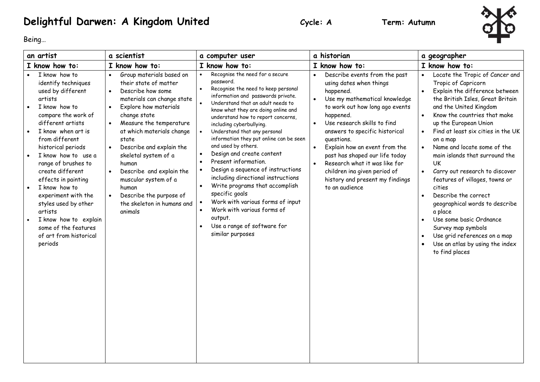## **Delightful Darwen: A Kingdom United** Cycle: A Term: Autumn



Being…

| an artist                                                                                                                                                                                                                                                                                                                                                                                                                                                 | a scientist                                                                                                                                                                                                                                                                                                                                                                                                                                                                   | a computer user                                                                                                                                                                                                                                                                                                                                                                                                                                                                                                                                                                                                                                                                                                                                                                                                    | a historian                                                                                                                                                                                                                                                                                                                                                                                                                                              | a geographer                                                                                                                                                                                                                                                                                                                                                                                                                                                                                                                                                                                                                                          |
|-----------------------------------------------------------------------------------------------------------------------------------------------------------------------------------------------------------------------------------------------------------------------------------------------------------------------------------------------------------------------------------------------------------------------------------------------------------|-------------------------------------------------------------------------------------------------------------------------------------------------------------------------------------------------------------------------------------------------------------------------------------------------------------------------------------------------------------------------------------------------------------------------------------------------------------------------------|--------------------------------------------------------------------------------------------------------------------------------------------------------------------------------------------------------------------------------------------------------------------------------------------------------------------------------------------------------------------------------------------------------------------------------------------------------------------------------------------------------------------------------------------------------------------------------------------------------------------------------------------------------------------------------------------------------------------------------------------------------------------------------------------------------------------|----------------------------------------------------------------------------------------------------------------------------------------------------------------------------------------------------------------------------------------------------------------------------------------------------------------------------------------------------------------------------------------------------------------------------------------------------------|-------------------------------------------------------------------------------------------------------------------------------------------------------------------------------------------------------------------------------------------------------------------------------------------------------------------------------------------------------------------------------------------------------------------------------------------------------------------------------------------------------------------------------------------------------------------------------------------------------------------------------------------------------|
| I know how to:                                                                                                                                                                                                                                                                                                                                                                                                                                            | I know how to:                                                                                                                                                                                                                                                                                                                                                                                                                                                                | I know how to:                                                                                                                                                                                                                                                                                                                                                                                                                                                                                                                                                                                                                                                                                                                                                                                                     | I know how to:                                                                                                                                                                                                                                                                                                                                                                                                                                           | I know how to:                                                                                                                                                                                                                                                                                                                                                                                                                                                                                                                                                                                                                                        |
| I know how to<br>identify techniques<br>used by different<br>artists<br>I know how to<br>compare the work of<br>different artists<br>I know when art is<br>from different<br>historical periods<br>I know how to use a<br>range of brushes to<br>create different<br>effects in painting<br>I know how to<br>experiment with the<br>styles used by other<br>artists<br>I know how to explain<br>some of the features<br>of art from historical<br>periods | Group materials based on<br>$\bullet$<br>their state of matter<br>Describe how some<br>$\bullet$<br>materials can change state<br>Explore how materials<br>change state<br>Measure the temperature<br>at which materials change<br>state<br>Describe and explain the<br>$\bullet$<br>skeletal system of a<br>human<br>Describe and explain the<br>$\bullet$<br>muscular system of a<br>human<br>Describe the purpose of<br>$\bullet$<br>the skeleton in humans and<br>animals | Recognise the need for a secure<br>$\bullet$<br>password.<br>Recognise the need to keep personal<br>$\bullet$<br>information and passwords private.<br>Understand that an adult needs to<br>$\bullet$<br>know what they are doing online and<br>understand how to report concerns,<br>including cyberbullying.<br>Understand that any personal<br>information they put online can be seen<br>and used by others.<br>Design and create content<br>$\bullet$<br>Present information.<br>$\bullet$<br>Design a sequence of instructions<br>$\bullet$<br>including directional instructions<br>Write programs that accomplish<br>$\bullet$<br>specific goals<br>Work with various forms of input<br>$\bullet$<br>Work with various forms of<br>$\bullet$<br>output.<br>Use a range of software for<br>similar purposes | Describe events from the past<br>$\bullet$<br>using dates when things<br>happened.<br>Use my mathematical knowledge<br>to work out how long ago events<br>happened.<br>Use research skills to find<br>answers to specific historical<br>questions.<br>Explain how an event from the<br>$\bullet$<br>past has shaped our life today<br>Research what it was like for<br>children ina given period of<br>history and present my findings<br>to an audience | Locate the Tropic of Cancer and<br>Tropic of Capricorn<br>Explain the difference between<br>the British Isles, Great Britain<br>and the United Kingdom<br>Know the countries that make<br>up the European Union<br>Find at least six cities in the UK<br>on a map<br>Name and locate some of the<br>main islands that surround the<br><b>UK</b><br>Carry out research to discover<br>$\bullet$<br>features of villages, towns or<br>cities<br>Describe the correct<br>geographical words to describe<br>a place<br>Use some basic Ordnance<br>Survey map symbols<br>Use grid references on a map<br>Use an atlas by using the index<br>to find places |